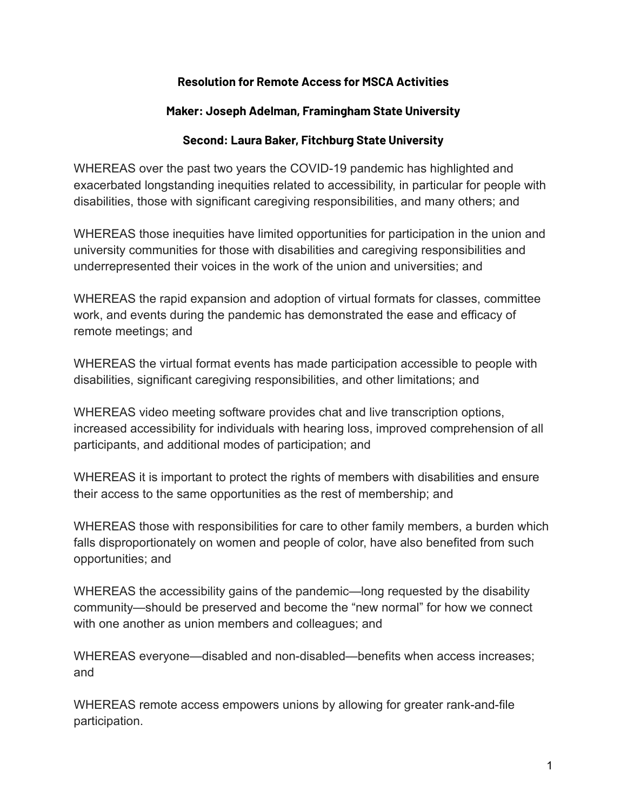## **Resolution for Remote Access for MSCA Activities**

## **Maker: Joseph Adelman, Framingham State University**

## **Second: Laura Baker, Fitchburg State University**

WHEREAS over the past two years the COVID-19 pandemic has highlighted and exacerbated longstanding inequities related to accessibility, in particular for people with disabilities, those with significant caregiving responsibilities, and many others; and

WHEREAS those inequities have limited opportunities for participation in the union and university communities for those with disabilities and caregiving responsibilities and underrepresented their voices in the work of the union and universities; and

WHEREAS the rapid expansion and adoption of virtual formats for classes, committee work, and events during the pandemic has demonstrated the ease and efficacy of remote meetings; and

WHEREAS the virtual format events has made participation accessible to people with disabilities, significant caregiving responsibilities, and other limitations; and

WHEREAS video meeting software provides chat and live transcription options, increased accessibility for individuals with hearing loss, improved comprehension of all participants, and additional modes of participation; and

WHEREAS it is important to protect the rights of members with disabilities and ensure their access to the same opportunities as the rest of membership; and

WHEREAS those with responsibilities for care to other family members, a burden which falls disproportionately on women and people of color, have also benefited from such opportunities; and

WHEREAS the accessibility gains of the pandemic—long requested by the disability community—should be preserved and become the "new normal" for how we connect with one another as union members and colleagues; and

WHEREAS everyone—disabled and non-disabled—benefits when access increases; and

WHEREAS remote access empowers unions by allowing for greater rank-and-file participation.